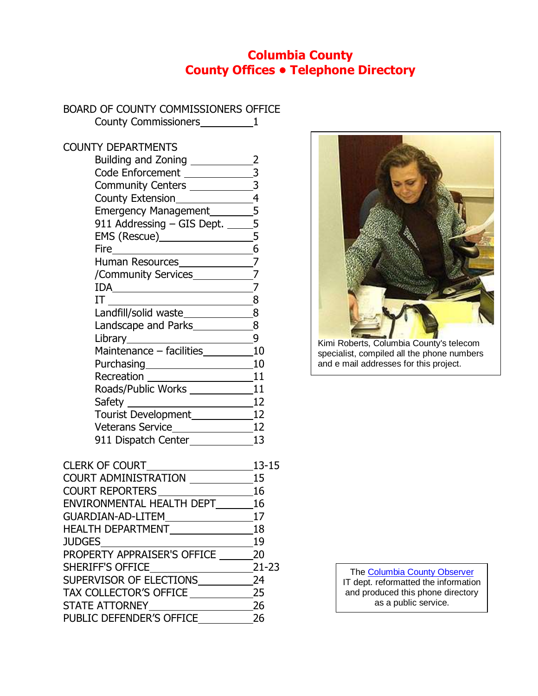### **Columbia County County Offices • Telephone Directory**

### BOARD OF COUNTY COMMISSIONERS OFFICE

| County Commissioners 1                        |                         |
|-----------------------------------------------|-------------------------|
| <b>COUNTY DEPARTMENTS</b>                     |                         |
| Building and Zoning ___________               | $\overline{\mathbf{2}}$ |
| Code Enforcement                              |                         |
| Community Centers ___________                 | $\frac{-3}{3}$          |
|                                               |                         |
| County Extension<br>Emergency Management<br>5 |                         |
| 911 Addressing - GIS Dept. _____5             |                         |
|                                               |                         |
|                                               | $\overline{6}$          |
|                                               |                         |
|                                               |                         |
|                                               |                         |
|                                               | 8                       |
| Landfill/solid waste________________8         |                         |
|                                               |                         |
|                                               | 9                       |
| Maintenance - facilities_________10           |                         |
|                                               | 10                      |
| Recreation 11                                 |                         |
| Roads/Public Works _____________              | 11                      |
|                                               | 12                      |
|                                               |                         |
| Veterans Service_________________12           |                         |
| 911 Dispatch Center____________               | 13                      |

| <b>CLERK OF COURT</b>       | $13 - 15$ |
|-----------------------------|-----------|
| <b>COURT ADMINISTRATION</b> | 15        |
| <b>COURT REPORTERS</b>      | 16        |
| ENVIRONMENTAL HEALTH DEPT   | 16        |
| <b>GUARDIAN-AD-LITEM</b>    | 17        |
| <b>HEALTH DEPARTMENT</b>    | 18        |
| <b>JUDGES</b>               | 19        |
| PROPERTY APPRAISER'S OFFICE | 20        |
| <b>SHERIFF'S OFFICE</b>     | $21 - 23$ |
| SUPERVISOR OF ELECTIONS     | 24        |
| TAX COLLECTOR'S OFFICE      | 25        |
| <b>STATE ATTORNEY</b>       | 26        |
| PUBLIC DEFENDER'S OFFICE    | 26        |
|                             |           |



specialist, compiled all the phone numbers and e mail addresses for this project.

> The [Columbia County Observer](http://www.columbiacountyobserver.com/) IT dept. reformatted the information and produced this phone directory as a public service.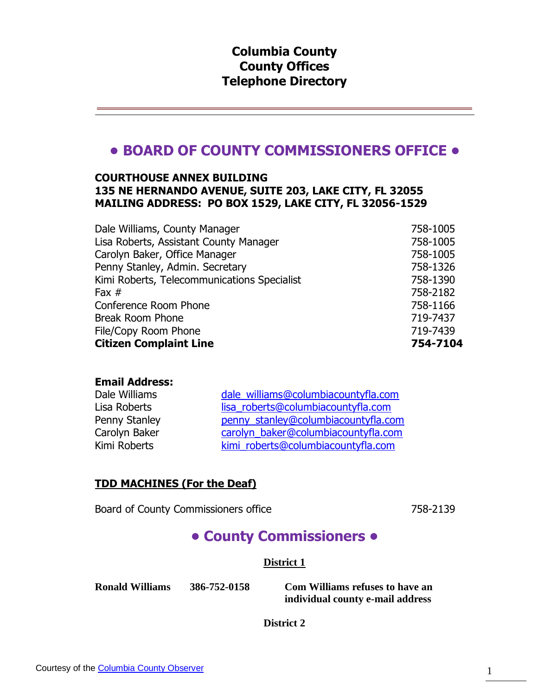### **Columbia County County Offices Telephone Directory**

# **• BOARD OF COUNTY COMMISSIONERS OFFICE •**

### **COURTHOUSE ANNEX BUILDING 135 NE HERNANDO AVENUE, SUITE 203, LAKE CITY, FL 32055 MAILING ADDRESS: PO BOX 1529, LAKE CITY, FL 32056-1529**

| Dale Williams, County Manager               | 758-1005 |
|---------------------------------------------|----------|
| Lisa Roberts, Assistant County Manager      | 758-1005 |
| Carolyn Baker, Office Manager               | 758-1005 |
| Penny Stanley, Admin. Secretary             | 758-1326 |
| Kimi Roberts, Telecommunications Specialist | 758-1390 |
| Fax $#$                                     | 758-2182 |
| Conference Room Phone                       | 758-1166 |
| <b>Break Room Phone</b>                     | 719-7437 |
| File/Copy Room Phone                        | 719-7439 |
| <b>Citizen Complaint Line</b>               | 754-7104 |

#### **Email Address:**

| Dale Williams | dale williams@columbiacountyfla.com |
|---------------|-------------------------------------|
| Lisa Roberts  | lisa_roberts@columbiacountyfla.com  |
| Penny Stanley | penny_stanley@columbiacountyfla.com |
| Carolyn Baker | carolyn baker@columbiacountyfla.com |
| Kimi Roberts  | kimi_roberts@columbiacountyfla.com  |

### **TDD MACHINES (For the Deaf)**

Board of County Commissioners office 758-2139

# **• County Commissioners •**

**District 1**

**Ronald Williams 386-752-0158 Com Williams refuses to have an individual county e-mail address**

**District 2**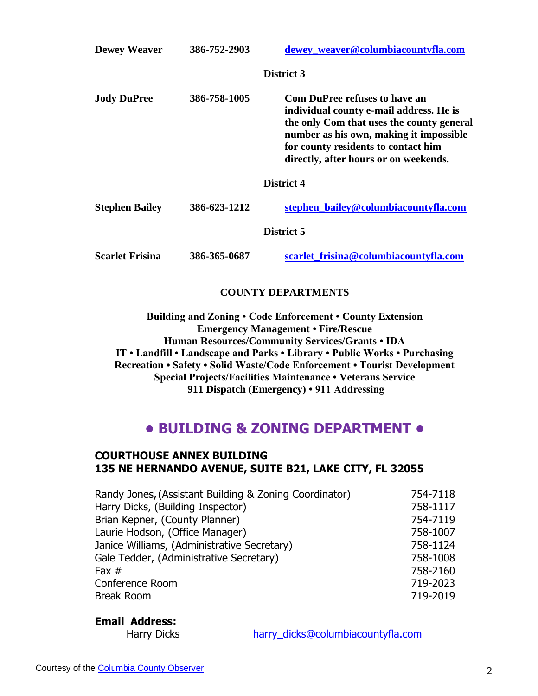| <b>Dewey Weaver</b>    | 386-752-2903 | dewey_weaver@columbiacountyfla.com                                                                                                                                                                                                                      |
|------------------------|--------------|---------------------------------------------------------------------------------------------------------------------------------------------------------------------------------------------------------------------------------------------------------|
|                        |              | District 3                                                                                                                                                                                                                                              |
| <b>Jody DuPree</b>     | 386-758-1005 | <b>Com DuPree refuses to have an</b><br>individual county e-mail address. He is<br>the only Com that uses the county general<br>number as his own, making it impossible<br>for county residents to contact him<br>directly, after hours or on weekends. |
|                        |              | District 4                                                                                                                                                                                                                                              |
| <b>Stephen Bailey</b>  | 386-623-1212 | stephen bailey@columbiacountyfla.com                                                                                                                                                                                                                    |
|                        |              | District 5                                                                                                                                                                                                                                              |
| <b>Scarlet Frisina</b> | 386-365-0687 | scarlet_frisina@columbiacountyfla.com                                                                                                                                                                                                                   |

### **COUNTY DEPARTMENTS**

**Building and Zoning • Code Enforcement • County Extension Emergency Management • Fire/Rescue Human Resources/Community Services/Grants • IDA IT • Landfill • Landscape and Parks • Library • Public Works • Purchasing Recreation • Safety • Solid Waste/Code Enforcement • Tourist Development Special Projects/Facilities Maintenance • Veterans Service 911 Dispatch (Emergency) • 911 Addressing**

### **• BUILDING & ZONING DEPARTMENT •**

#### **COURTHOUSE ANNEX BUILDING 135 NE HERNANDO AVENUE, SUITE B21, LAKE CITY, FL 32055**

| Randy Jones, (Assistant Building & Zoning Coordinator) | 754-7118 |
|--------------------------------------------------------|----------|
| Harry Dicks, (Building Inspector)                      | 758-1117 |
| Brian Kepner, (County Planner)                         | 754-7119 |
| Laurie Hodson, (Office Manager)                        | 758-1007 |
| Janice Williams, (Administrative Secretary)            | 758-1124 |
| Gale Tedder, (Administrative Secretary)                | 758-1008 |
| Fax $#$                                                | 758-2160 |
| Conference Room                                        | 719-2023 |
| <b>Break Room</b>                                      | 719-2019 |
|                                                        |          |

#### **Email Address:**

Harry Dicks harry dicks@columbiacountyfla.com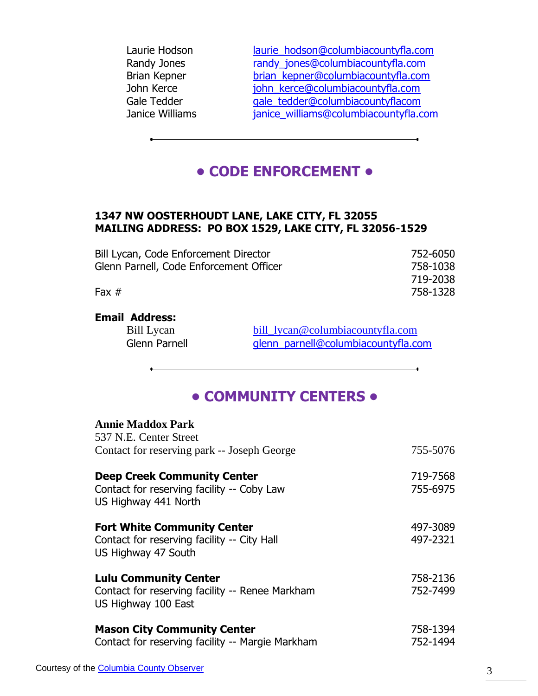| Laurie Hodson   | laurie hodson@columbiacountyfla.com   |
|-----------------|---------------------------------------|
| Randy Jones     | randy jones@columbiacountyfla.com     |
| Brian Kepner    | brian_kepner@columbiacountyfla.com    |
| John Kerce      | john kerce@columbiacountyfla.com      |
| Gale Tedder     | gale tedder@columbiacountyflacom      |
| Janice Williams | janice_williams@columbiacountyfla.com |
|                 |                                       |

# **• CODE ENFORCEMENT •**

### **1347 NW OOSTERHOUDT LANE, LAKE CITY, FL 32055 MAILING ADDRESS: PO BOX 1529, LAKE CITY, FL 32056-1529**

| Bill Lycan, Code Enforcement Director   | 752-6050 |
|-----------------------------------------|----------|
| Glenn Parnell, Code Enforcement Officer | 758-1038 |
|                                         | 719-2038 |
| Fax $#$                                 | 758-1328 |
|                                         |          |

### **Email Address:**

Bill Lycan [bill\\_lycan@columbiacountyfla.com](mailto:bill_lycan@columbiacountyfla.com) Glenn Parnell **glenn** parnell@columbiacountyfla.com

### **• COMMUNITY CENTERS •**

#### **Annie Maddox Park** 537 N.E. Center Street

| 997 IV.E. Center Street<br>Contact for reserving park -- Joseph George                                   | 755-5076             |
|----------------------------------------------------------------------------------------------------------|----------------------|
| <b>Deep Creek Community Center</b><br>Contact for reserving facility -- Coby Law<br>US Highway 441 North | 719-7568<br>755-6975 |
| <b>Fort White Community Center</b><br>Contact for reserving facility -- City Hall<br>US Highway 47 South | 497-3089<br>497-2321 |
| <b>Lulu Community Center</b><br>Contact for reserving facility -- Renee Markham<br>US Highway 100 East   | 758-2136<br>752-7499 |
| <b>Mason City Community Center</b><br>Contact for reserving facility -- Margie Markham                   | 758-1394<br>752-1494 |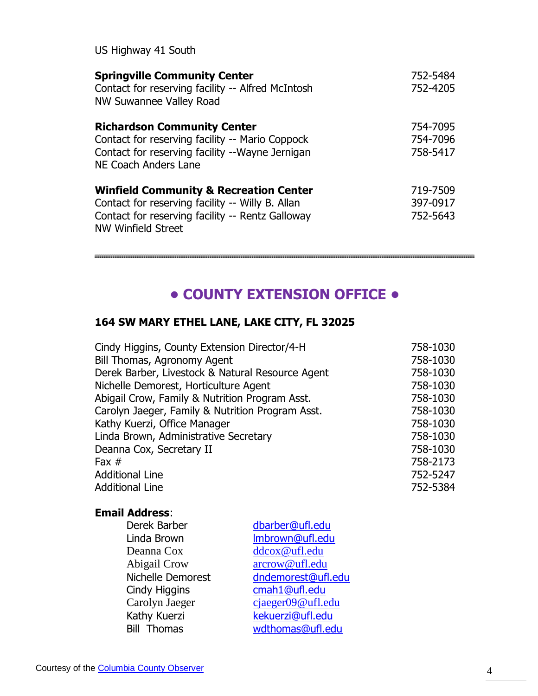| <b>Springville Community Center</b><br>Contact for reserving facility -- Alfred McIntosh<br>NW Suwannee Valley Road                                                             | 752-5484<br>752-4205             |
|---------------------------------------------------------------------------------------------------------------------------------------------------------------------------------|----------------------------------|
| <b>Richardson Community Center</b><br>Contact for reserving facility -- Mario Coppock<br>Contact for reserving facility --Wayne Jernigan<br>NE Coach Anders Lane                | 754-7095<br>754-7096<br>758-5417 |
| <b>Winfield Community &amp; Recreation Center</b><br>Contact for reserving facility -- Willy B. Allan<br>Contact for reserving facility -- Rentz Galloway<br>NW Winfield Street | 719-7509<br>397-0917<br>752-5643 |

# **• COUNTY EXTENSION OFFICE •**

### **164 SW MARY ETHEL LANE, LAKE CITY, FL 32025**

| Cindy Higgins, County Extension Director/4-H     | 758-1030 |
|--------------------------------------------------|----------|
| Bill Thomas, Agronomy Agent                      | 758-1030 |
| Derek Barber, Livestock & Natural Resource Agent | 758-1030 |
| Nichelle Demorest, Horticulture Agent            | 758-1030 |
| Abigail Crow, Family & Nutrition Program Asst.   | 758-1030 |
| Carolyn Jaeger, Family & Nutrition Program Asst. | 758-1030 |
| Kathy Kuerzi, Office Manager                     | 758-1030 |
| Linda Brown, Administrative Secretary            | 758-1030 |
| Deanna Cox, Secretary II                         | 758-1030 |
| Fax $#$                                          | 758-2173 |
| <b>Additional Line</b>                           | 752-5247 |
| <b>Additional Line</b>                           | 752-5384 |
|                                                  |          |

### **Email Address**:

| Derek Barber       | dbarber@ufl.edu    |
|--------------------|--------------------|
| Linda Brown        | Imbrown@ufl.edu    |
| Deanna Cox         | ddcox@ufl.edu      |
| Abigail Crow       | arcrow@ufl.edu     |
| Nichelle Demorest  | dndemorest@ufl.edu |
| Cindy Higgins      | cmah1@ufl.edu      |
| Carolyn Jaeger     | cjaeger09@ufl.edu  |
| Kathy Kuerzi       | kekuerzi@ufl.edu   |
| <b>Bill Thomas</b> | wdthomas@ufl.edu   |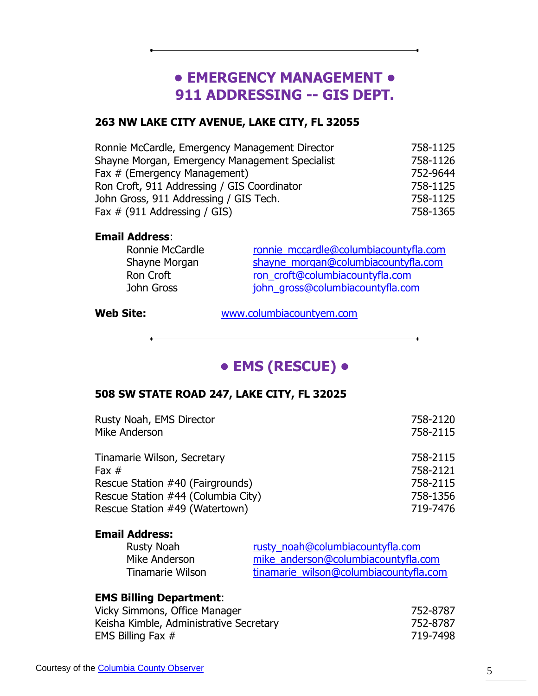# **• EMERGENCY MANAGEMENT • 911 ADDRESSING -- GIS DEPT.**

<u> 1989 - Johann Barn, amerikansk politiker (d. 1989)</u>

### **263 NW LAKE CITY AVENUE, LAKE CITY, FL 32055**

| Ronnie McCardle, Emergency Management Director | 758-1125 |
|------------------------------------------------|----------|
| Shayne Morgan, Emergency Management Specialist | 758-1126 |
| Fax # (Emergency Management)                   | 752-9644 |
| Ron Croft, 911 Addressing / GIS Coordinator    | 758-1125 |
| John Gross, 911 Addressing / GIS Tech.         | 758-1125 |
| Fax $\#$ (911 Addressing / GIS)                | 758-1365 |

#### **Email Address**:

| ronnie mccardle@columbiacountyfla.com |
|---------------------------------------|
| shayne morgan@columbiacountyfla.com   |
| ron_croft@columbiacountyfla.com       |
| john_gross@columbiacountyfla.com      |
|                                       |

**Web Site:** [www.columbiacountyem.com](http://www.columbiacountyem.com/)

<u> 1980 - Johann Barbara, martxa alemaniar a</u>

# **• EMS (RESCUE) •**

### **508 SW STATE ROAD 247, LAKE CITY, FL 32025**

| Rusty Noah, EMS Director           | 758-2120 |
|------------------------------------|----------|
| Mike Anderson                      | 758-2115 |
| Tinamarie Wilson, Secretary        | 758-2115 |
| Fax $#$                            | 758-2121 |
| Rescue Station #40 (Fairgrounds)   | 758-2115 |
| Rescue Station #44 (Columbia City) | 758-1356 |
| Rescue Station #49 (Watertown)     | 719-7476 |
|                                    |          |

### **Email Address:**

| Rusty Noah       | rusty noah@columbiacountyfla.com       |
|------------------|----------------------------------------|
| Mike Anderson    | mike_anderson@columbiacountyfla.com    |
| Tinamarie Wilson | tinamarie wilson@columbiacountyfla.com |

### **EMS Billing Department**:

| Vicky Simmons, Office Manager           | 752-8787 |
|-----------------------------------------|----------|
| Keisha Kimble, Administrative Secretary | 752-8787 |
| EMS Billing Fax $#$                     | 719-7498 |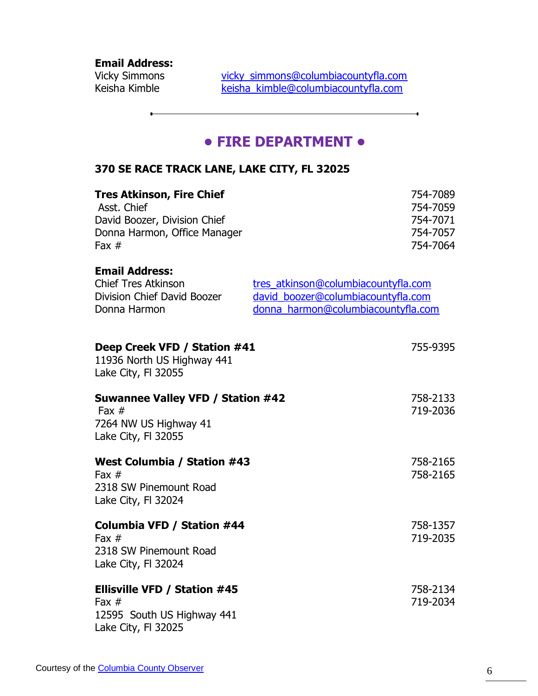**Email Address:**

Vicky Simmons [vicky\\_simmons@columbiacountyfla.com](mailto:Vicky_simmons@columbiacountyfla.com) Keisha Kimble [keisha\\_kimble@columbiacountyfla.com](mailto:Keisha_kimble@columbiacountyfla.com)

### **• FIRE DEPARTMENT •**

### **370 SE RACE TRACK LANE, LAKE CITY, FL 32025**

| <b>Tres Atkinson, Fire Chief</b><br>Asst. Chief<br>David Boozer, Division Chief<br>Donna Harmon, Office Manager<br>Fax $#$ |                                                                                                                 | 754-7089<br>754-7059<br>754-7071<br>754-7057<br>754-7064 |
|----------------------------------------------------------------------------------------------------------------------------|-----------------------------------------------------------------------------------------------------------------|----------------------------------------------------------|
| <b>Email Address:</b><br><b>Chief Tres Atkinson</b><br>Division Chief David Boozer<br>Donna Harmon                         | tres atkinson@columbiacountyfla.com<br>david_boozer@columbiacountyfla.com<br>donna_harmon@columbiacountyfla.com |                                                          |
| Deep Creek VFD / Station #41<br>11936 North US Highway 441<br>Lake City, FI 32055                                          |                                                                                                                 | 755-9395                                                 |
| <b>Suwannee Valley VFD / Station #42</b><br>Fax $#$<br>7264 NW US Highway 41<br>Lake City, FI 32055                        |                                                                                                                 | 758-2133<br>719-2036                                     |
| <b>West Columbia / Station #43</b><br>Fax $#$<br>2318 SW Pinemount Road<br>Lake City, FI 32024                             |                                                                                                                 | 758-2165<br>758-2165                                     |
| Columbia VFD / Station #44<br>Fax $#$<br>2318 SW Pinemount Road<br>Lake City, FI 32024                                     |                                                                                                                 | 758-1357<br>719-2035                                     |
| <b>Ellisville VFD / Station #45</b><br>Fax $#$<br>12595 South US Highway 441<br>Lake City, FI 32025                        |                                                                                                                 | 758-2134<br>719-2034                                     |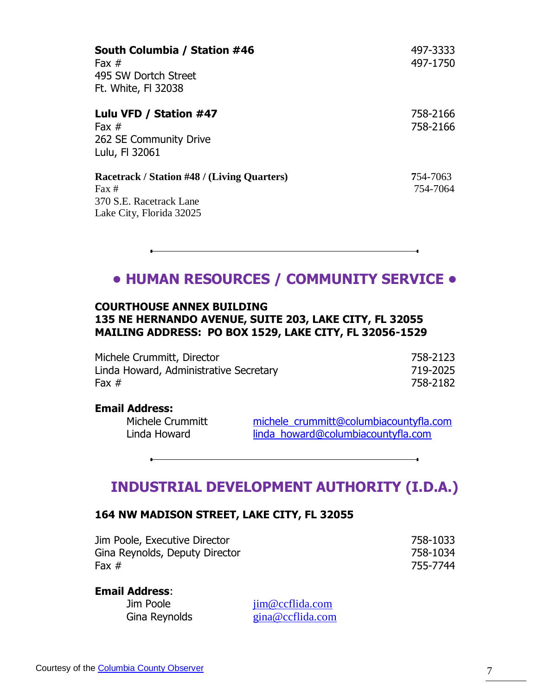| South Columbia / Station #46<br>Fax $#$<br>495 SW Dortch Street<br>Ft. White, FI 32038                                | 497-3333<br>497-1750 |
|-----------------------------------------------------------------------------------------------------------------------|----------------------|
| Lulu VFD / Station #47<br>Fax $#$<br>262 SE Community Drive<br>Lulu, FI 32061                                         | 758-2166<br>758-2166 |
| Racetrack / Station #48 / (Living Quarters)<br>$\text{Fax} \#$<br>370 S.E. Racetrack Lane<br>Lake City, Florida 32025 | 754-7063<br>754-7064 |

### **• HUMAN RESOURCES / COMMUNITY SERVICE •**

### **COURTHOUSE ANNEX BUILDING 135 NE HERNANDO AVENUE, SUITE 203, LAKE CITY, FL 32055 MAILING ADDRESS: PO BOX 1529, LAKE CITY, FL 32056-1529**

Michele Crummitt, Director 758-2123 Linda Howard, Administrative Secretary 719-2025 Fax # 758-2182

#### **Email Address:**

Michele Crummitt [michele\\_crummitt@columbiacountyfla.com](mailto:michele_crummitt@columbiacountyfla.com) Linda Howard [linda\\_howard@columbiacountyfla.com](mailto:linda_howard@columbiacountyfla.com)

### **INDUSTRIAL DEVELOPMENT AUTHORITY (I.D.A.)**

#### **164 NW MADISON STREET, LAKE CITY, FL 32055**

| Jim Poole, Executive Director  | 758-1033 |
|--------------------------------|----------|
| Gina Reynolds, Deputy Director | 758-1034 |
| Fax #                          | 755-7744 |

**Email Address**:

Jim Poole [jim@ccflida.com](mailto:jim@ccflida.com) Gina Reynolds gina@ccflida.com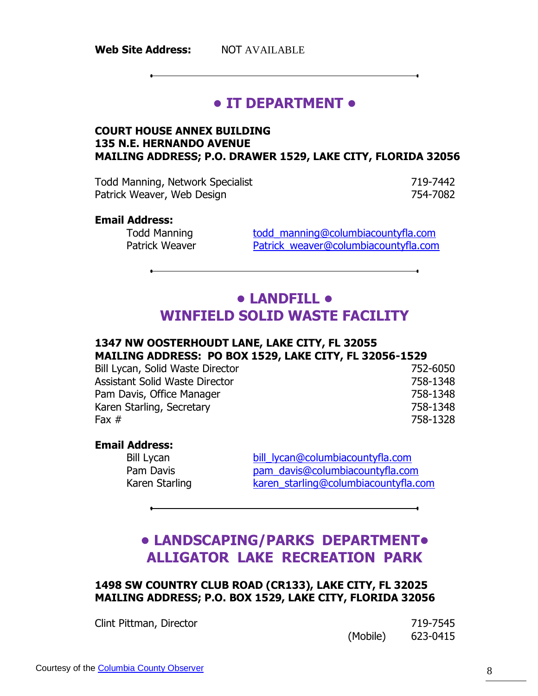# **• IT DEPARTMENT •**

### **COURT HOUSE ANNEX BUILDING 135 N.E. HERNANDO AVENUE MAILING ADDRESS; P.O. DRAWER 1529, LAKE CITY, FLORIDA 32056**

Todd Manning, Network Specialist 719-7442 Patrick Weaver, Web Design 754-7082

#### **Email Address:**

Todd Manning Todd manning@columbiacountyfla.com Patrick Weaver **Patrick** weaver@columbiacountyfla.com

# **• LANDFILL • WINFIELD SOLID WASTE FACILITY**

#### **1347 NW OOSTERHOUDT LANE, LAKE CITY, FL 32055 MAILING ADDRESS: PO BOX 1529, LAKE CITY, FL 32056-1529**

Bill Lycan, Solid Waste Director 752-6050 Assistant Solid Waste Director 758-1348 Pam Davis, Office Manager 758-1348 Karen Starling, Secretary 758-1348 Fax # 758-1328

#### **Email Address:**

Bill Lycan bill lycan@columbiacountyfla.com<br>Pam Davis bam davis@columbiacountyfla.com [pam\\_davis@columbiacountyfla.com](mailto:pam_davis@columbiacountyfla.com) Karen Starling Karen starling@columbiacountyfla.com

# **• LANDSCAPING/PARKS DEPARTMENT• ALLIGATOR LAKE RECREATION PARK**

### **1498 SW COUNTRY CLUB ROAD (CR133), LAKE CITY, FL 32025 MAILING ADDRESS; P.O. BOX 1529, LAKE CITY, FLORIDA 32056**

Clint Pittman, Director 719-7545

(Mobile) 623-0415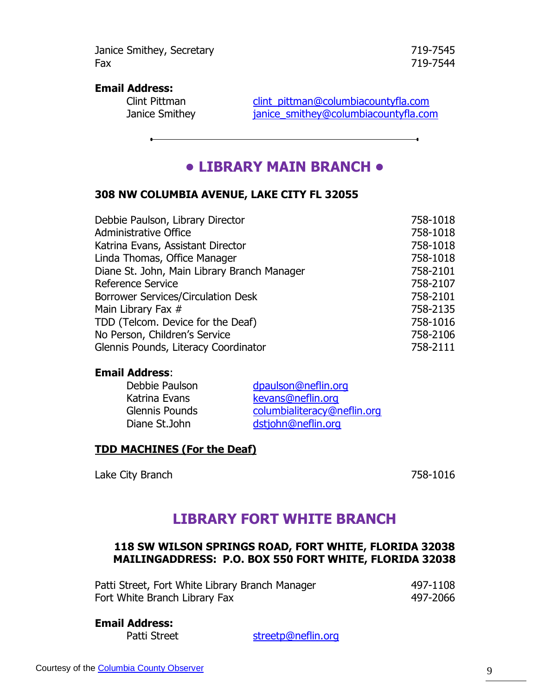Janice Smithey, Secretary 719-7545 Fax 719-7544

#### **Email Address:**

Clint Pittman clint pittman@columbiacountyfla.com<br>
Janice Smithey anice smithey@columbiacountyfla.com [janice\\_smithey@columbiacountyfla.com](mailto:janice_smithey@columbiacountyfla.com)

### **• LIBRARY MAIN BRANCH •**

### **308 NW COLUMBIA AVENUE, LAKE CITY FL 32055**

| Debbie Paulson, Library Director            | 758-1018 |
|---------------------------------------------|----------|
| <b>Administrative Office</b>                | 758-1018 |
| Katrina Evans, Assistant Director           | 758-1018 |
| Linda Thomas, Office Manager                | 758-1018 |
| Diane St. John, Main Library Branch Manager | 758-2101 |
| <b>Reference Service</b>                    | 758-2107 |
| <b>Borrower Services/Circulation Desk</b>   | 758-2101 |
| Main Library Fax #                          | 758-2135 |
| TDD (Telcom. Device for the Deaf)           | 758-1016 |
| No Person, Children's Service               | 758-2106 |
| Glennis Pounds, Literacy Coordinator        | 758-2111 |

#### **Email Address**:

| Debbie Paulson        | dpaulson@neflin.org         |
|-----------------------|-----------------------------|
| Katrina Evans         | kevans@neflin.org           |
| <b>Glennis Pounds</b> | columbialiteracy@neflin.org |
| Diane St.John         | dstjohn@neflin.org          |

#### **TDD MACHINES (For the Deaf)**

Lake City Branch 758-1016

### **LIBRARY FORT WHITE BRANCH**

### **118 SW WILSON SPRINGS ROAD, FORT WHITE, FLORIDA 32038 MAILINGADDRESS: P.O. BOX 550 FORT WHITE, FLORIDA 32038**

| Patti Street, Fort White Library Branch Manager | 497-1108 |
|-------------------------------------------------|----------|
| Fort White Branch Library Fax                   | 497-2066 |

#### **Email Address:**

Patti Street [streetp@neflin.org](mailto:streetp@neflin.org)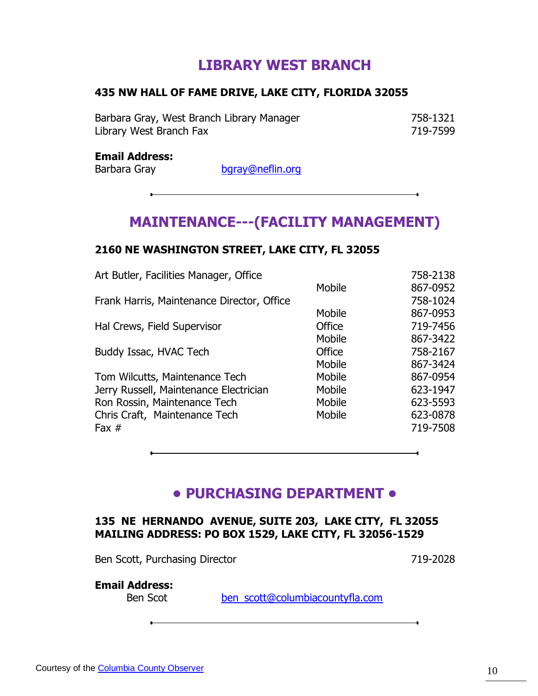# **LIBRARY WEST BRANCH**

### **435 NW HALL OF FAME DRIVE, LAKE CITY, FLORIDA 32055**

Barbara Gray, West Branch Library Manager 758-1321 Library West Branch Fax 719-7599

#### **Email Address:**

Barbara Gray [bgray@neflin.org](mailto:bgray@neflin.org)

# **MAINTENANCE---(FACILITY MANAGEMENT)**

### **2160 NE WASHINGTON STREET, LAKE CITY, FL 32055**

| Art Butler, Facilities Manager, Office     |        | 758-2138 |
|--------------------------------------------|--------|----------|
|                                            | Mobile | 867-0952 |
| Frank Harris, Maintenance Director, Office |        | 758-1024 |
|                                            | Mobile | 867-0953 |
| Hal Crews, Field Supervisor                | Office | 719-7456 |
|                                            | Mobile | 867-3422 |
| Buddy Issac, HVAC Tech                     | Office | 758-2167 |
|                                            | Mobile | 867-3424 |
| Tom Wilcutts, Maintenance Tech             | Mobile | 867-0954 |
| Jerry Russell, Maintenance Electrician     | Mobile | 623-1947 |
| Ron Rossin, Maintenance Tech               | Mobile | 623-5593 |
| Chris Craft, Maintenance Tech              | Mobile | 623-0878 |
| Fax $#$                                    |        | 719-7508 |
|                                            |        |          |

### **• PURCHASING DEPARTMENT •**

### **135 NE HERNANDO AVENUE, SUITE 203, LAKE CITY, FL 32055 MAILING ADDRESS: PO BOX 1529, LAKE CITY, FL 32056-1529**

Ben Scott, Purchasing Director 719-2028

### **Email Address:**

Ben Scot [ben\\_scott@columbiacountyfla.com](mailto:ben_scott@columbiacountyfla.com)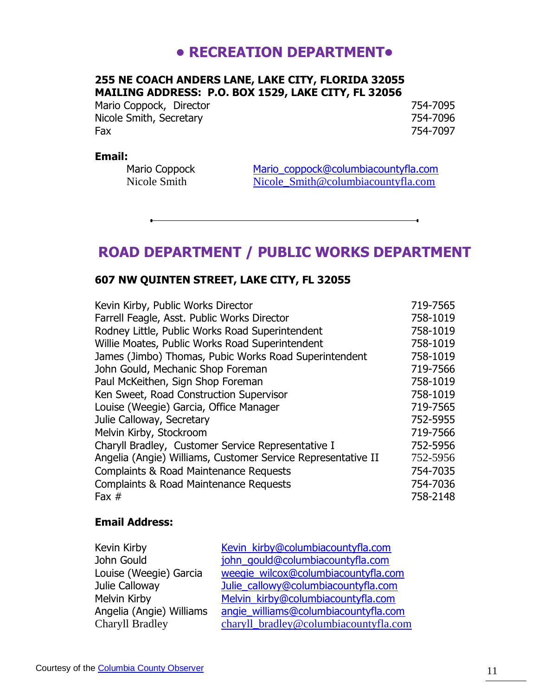# **• RECREATION DEPARTMENT•**

### **255 NE COACH ANDERS LANE, LAKE CITY, FLORIDA 32055 MAILING ADDRESS: P.O. BOX 1529, LAKE CITY, FL 32056**

Mario Coppock, Director 754-7095 Nicole Smith, Secretary 754-7096 Fax 754-7097

#### **Email:**

Mario Coppock<br> [Mario\\_coppock@columbiacountyfla.com](mailto:Mario_coppock@columbiacountyfla.com)<br>
Nicole Smith@columbiacountyfla.com<br>
Nicole Smith@columbiacountyfla.com Nicole Smith@columbiacountyfla.com

### **ROAD DEPARTMENT / PUBLIC WORKS DEPARTMENT**

### **607 NW QUINTEN STREET, LAKE CITY, FL 32055**

| 719-7565 |
|----------|
| 758-1019 |
| 758-1019 |
| 758-1019 |
| 758-1019 |
| 719-7566 |
| 758-1019 |
| 758-1019 |
| 719-7565 |
| 752-5955 |
| 719-7566 |
| 752-5956 |
| 752-5956 |
| 754-7035 |
| 754-7036 |
| 758-2148 |
|          |

#### **Email Address:**

| Kevin Kirby              | Kevin_kirby@columbiacountyfla.com     |
|--------------------------|---------------------------------------|
| John Gould               | john gould@columbiacountyfla.com      |
| Louise (Weegie) Garcia   | weeqie_wilcox@columbiacountyfla.com   |
| Julie Calloway           | Julie_callowy@columbiacountyfla.com   |
| Melvin Kirby             | Melvin kirby@columbiacountyfla.com    |
| Angelia (Angie) Williams | angie williams@columbiacountyfla.com  |
| Charyll Bradley          | charyll_bradley@columbiacountyfla.com |
|                          |                                       |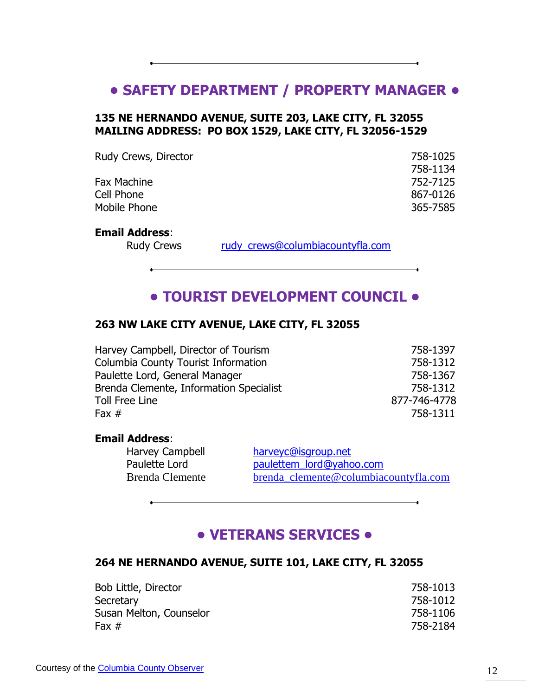### **• SAFETY DEPARTMENT / PROPERTY MANAGER •**

### **135 NE HERNANDO AVENUE, SUITE 203, LAKE CITY, FL 32055 MAILING ADDRESS: PO BOX 1529, LAKE CITY, FL 32056-1529**

| Rudy Crews, Director | 758-1025 |
|----------------------|----------|
|                      | 758-1134 |
| <b>Fax Machine</b>   | 752-7125 |
| Cell Phone           | 867-0126 |
| Mobile Phone         | 365-7585 |

#### **Email Address**:

Rudy Crews rudy crews@columbiacountyfla.com

### **• TOURIST DEVELOPMENT COUNCIL •**

#### **263 NW LAKE CITY AVENUE, LAKE CITY, FL 32055**

| Harvey Campbell, Director of Tourism    | 758-1397     |
|-----------------------------------------|--------------|
| Columbia County Tourist Information     | 758-1312     |
| Paulette Lord, General Manager          | 758-1367     |
| Brenda Clemente, Information Specialist | 758-1312     |
| Toll Free Line                          | 877-746-4778 |
| Fax $#$                                 | 758-1311     |

#### **Email Address**:

Harvey Campbell [harveyc@isgroup.net](mailto:harveyc@isgroup.net) Paulette Lord **[paulettem\\_lord@yahoo.com](mailto:paulettem_lord@yahoo.com)** Brenda Clemente [brenda\\_clemente@columbiacountyfla.com](mailto:Brenda_clemente@columbiacountyfla.com)

### **• VETERANS SERVICES •**

#### **264 NE HERNANDO AVENUE, SUITE 101, LAKE CITY, FL 32055**

| Bob Little, Director    | 758-1013 |
|-------------------------|----------|
| Secretary               | 758-1012 |
| Susan Melton, Counselor | 758-1106 |
| Fax $#$                 | 758-2184 |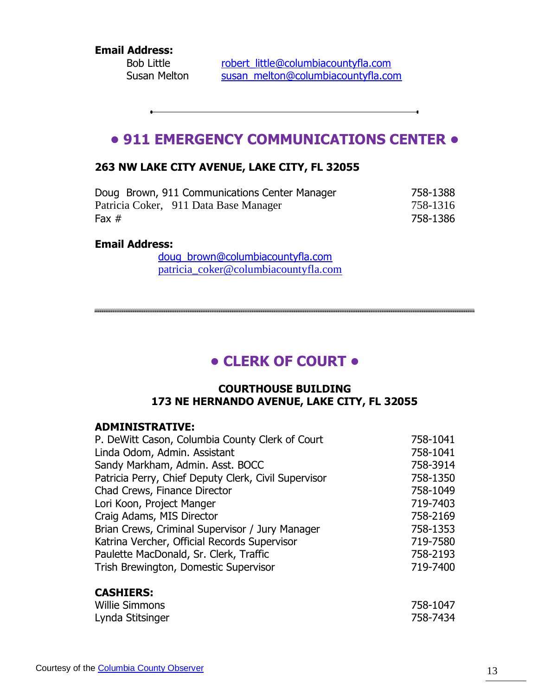**Email Address:**

 $\ddot{\phantom{a}}$ 

Bob Little [robert\\_little@columbiacountyfla.com](mailto:robert_little@columbiacountyfla.com) Susan Melton [susan\\_melton@columbiacountyfla.com](mailto:susan_melton@columbiacountyfla.com)

# **• 911 EMERGENCY COMMUNICATIONS CENTER •**

### **263 NW LAKE CITY AVENUE, LAKE CITY, FL 32055**

| Doug Brown, 911 Communications Center Manager | 758-1388 |
|-----------------------------------------------|----------|
| Patricia Coker, 911 Data Base Manager         | 758-1316 |
| Fax $#$                                       | 758-1386 |

#### **Email Address:**

[doug\\_brown@columbiacountyfla.com](mailto:doug_brown@columbiacountyfla.com) [patricia\\_coker@columbiacountyfla.com](mailto:patricia_coker@columbiacountyfla.com)

# **• CLERK OF COURT •**

#### **COURTHOUSE BUILDING 173 NE HERNANDO AVENUE, LAKE CITY, FL 32055**

### **ADMINISTRATIVE:**

| P. DeWitt Cason, Columbia County Clerk of Court      | 758-1041 |
|------------------------------------------------------|----------|
| Linda Odom, Admin. Assistant                         | 758-1041 |
| Sandy Markham, Admin. Asst. BOCC                     | 758-3914 |
| Patricia Perry, Chief Deputy Clerk, Civil Supervisor | 758-1350 |
| Chad Crews, Finance Director                         | 758-1049 |
| Lori Koon, Project Manger                            | 719-7403 |
| Craig Adams, MIS Director                            | 758-2169 |
| Brian Crews, Criminal Supervisor / Jury Manager      | 758-1353 |
| Katrina Vercher, Official Records Supervisor         | 719-7580 |
| Paulette MacDonald, Sr. Clerk, Traffic               | 758-2193 |
| Trish Brewington, Domestic Supervisor                | 719-7400 |
|                                                      |          |

### **CASHIERS:**

| Willie Simmons   | 758-1047 |
|------------------|----------|
| Lynda Stitsinger | 758-7434 |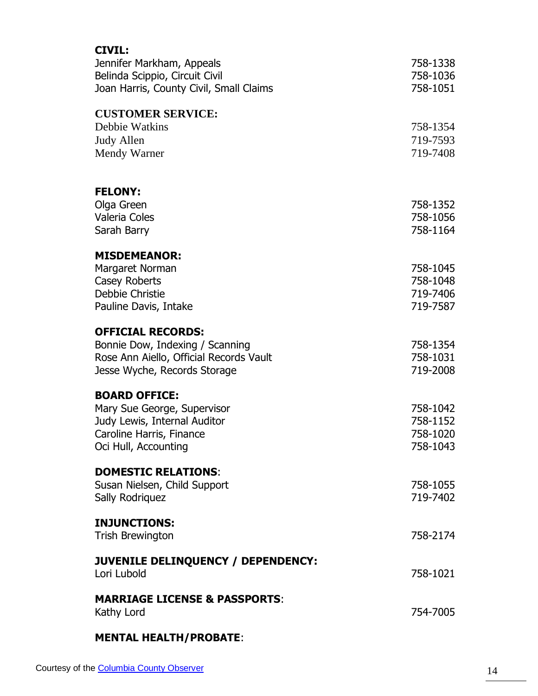| <b>CIVIL:</b><br>Jennifer Markham, Appeals<br>Belinda Scippio, Circuit Civil<br>Joan Harris, County Civil, Small Claims                 | 758-1338<br>758-1036<br>758-1051             |
|-----------------------------------------------------------------------------------------------------------------------------------------|----------------------------------------------|
| <b>CUSTOMER SERVICE:</b><br>Debbie Watkins<br><b>Judy Allen</b><br>Mendy Warner                                                         | 758-1354<br>719-7593<br>719-7408             |
| <b>FELONY:</b><br>Olga Green<br>Valeria Coles<br>Sarah Barry                                                                            | 758-1352<br>758-1056<br>758-1164             |
| <b>MISDEMEANOR:</b><br>Margaret Norman<br>Casey Roberts<br>Debbie Christie<br>Pauline Davis, Intake                                     | 758-1045<br>758-1048<br>719-7406<br>719-7587 |
| <b>OFFICIAL RECORDS:</b><br>Bonnie Dow, Indexing / Scanning<br>Rose Ann Aiello, Official Records Vault<br>Jesse Wyche, Records Storage  | 758-1354<br>758-1031<br>719-2008             |
| <b>BOARD OFFICE:</b><br>Mary Sue George, Supervisor<br>Judy Lewis, Internal Auditor<br>Caroline Harris, Finance<br>Oci Hull, Accounting | 758-1042<br>758-1152<br>758-1020<br>758-1043 |
| <b>DOMESTIC RELATIONS:</b><br>Susan Nielsen, Child Support<br>Sally Rodriquez                                                           | 758-1055<br>719-7402                         |
| <b>INJUNCTIONS:</b><br><b>Trish Brewington</b>                                                                                          | 758-2174                                     |
| JUVENILE DELINQUENCY / DEPENDENCY:<br>Lori Lubold                                                                                       | 758-1021                                     |
| <b>MARRIAGE LICENSE &amp; PASSPORTS:</b><br>Kathy Lord                                                                                  | 754-7005                                     |
|                                                                                                                                         |                                              |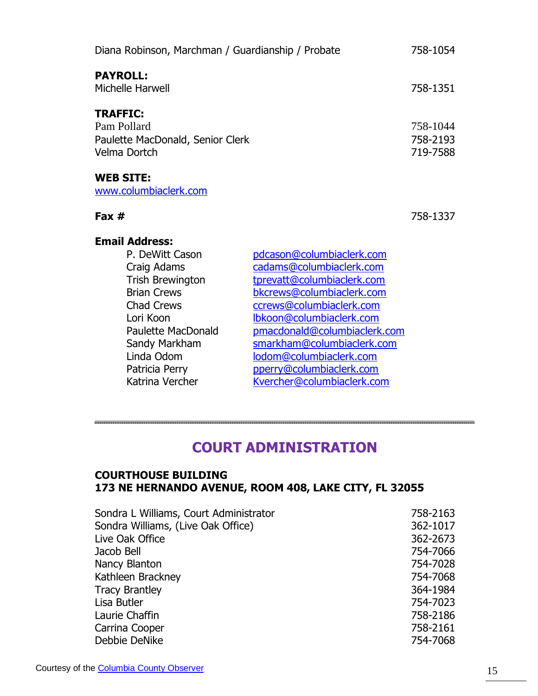| Diana Robinson, Marchman / Guardianship / Probate                                                                                                                                                                 |                                                                                                                                                                                                                                                                                               | 758-1054                         |
|-------------------------------------------------------------------------------------------------------------------------------------------------------------------------------------------------------------------|-----------------------------------------------------------------------------------------------------------------------------------------------------------------------------------------------------------------------------------------------------------------------------------------------|----------------------------------|
| <b>PAYROLL:</b><br>Michelle Harwell                                                                                                                                                                               |                                                                                                                                                                                                                                                                                               | 758-1351                         |
| <b>TRAFFIC:</b><br>Pam Pollard<br>Paulette MacDonald, Senior Clerk<br>Velma Dortch                                                                                                                                |                                                                                                                                                                                                                                                                                               | 758-1044<br>758-2193<br>719-7588 |
| <b>WEB SITE:</b><br>www.columbiaclerk.com                                                                                                                                                                         |                                                                                                                                                                                                                                                                                               |                                  |
| Fax $#$                                                                                                                                                                                                           |                                                                                                                                                                                                                                                                                               | 758-1337                         |
| <b>Email Address:</b><br>P. DeWitt Cason<br>Craig Adams<br><b>Trish Brewington</b><br><b>Brian Crews</b><br><b>Chad Crews</b><br>Lori Koon<br>Paulette MacDonald<br>Sandy Markham<br>Linda Odom<br>Patricia Perry | pdcason@columbiaclerk.com<br>cadams@columbiaclerk.com<br>tprevatt@columbiaclerk.com<br>bkcrews@columbiaclerk.com<br>ccrews@columbiaclerk.com<br>Ibkoon@columbiaclerk.com<br>pmacdonald@columbiaclerk.com<br>smarkham@columbiaclerk.com<br>lodom@columbiaclerk.com<br>pperry@columbiaclerk.com |                                  |

# **COURT ADMINISTRATION**

[Kvercher@columbiaclerk.com](mailto:Kvercher@columbiaclerk.com)

### **COURTHOUSE BUILDING 173 NE HERNANDO AVENUE, ROOM 408, LAKE CITY, FL 32055**

Patricia Perry [pperry@columbiaclerk.com](mailto:pperry@columbiaclerk.com)<br>
Katrina Vercher<br>
Kvercher@columbiaclerk.com

| Sondra L Williams, Court Administrator | 758-2163 |
|----------------------------------------|----------|
| Sondra Williams, (Live Oak Office)     | 362-1017 |
| Live Oak Office                        | 362-2673 |
| Jacob Bell                             | 754-7066 |
| Nancy Blanton                          | 754-7028 |
| Kathleen Brackney                      | 754-7068 |
| <b>Tracy Brantley</b>                  | 364-1984 |
| Lisa Butler                            | 754-7023 |
| Laurie Chaffin                         | 758-2186 |
| Carrina Cooper                         | 758-2161 |
| Debbie DeNike                          | 754-7068 |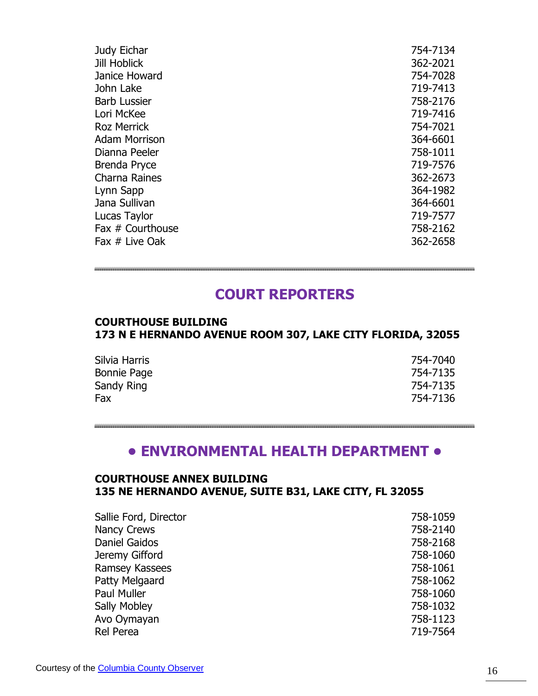| Judy Eichar          | 754-7134 |
|----------------------|----------|
| <b>Jill Hoblick</b>  | 362-2021 |
| Janice Howard        | 754-7028 |
| John Lake            | 719-7413 |
| <b>Barb Lussier</b>  | 758-2176 |
| Lori McKee           | 719-7416 |
| <b>Roz Merrick</b>   | 754-7021 |
| <b>Adam Morrison</b> | 364-6601 |
| Dianna Peeler        | 758-1011 |
| Brenda Pryce         | 719-7576 |
| <b>Charna Raines</b> | 362-2673 |
| Lynn Sapp            | 364-1982 |
| Jana Sullivan        | 364-6601 |
| Lucas Taylor         | 719-7577 |
| Fax # Courthouse     | 758-2162 |
| Fax # Live Oak       | 362-2658 |
|                      |          |

# **COURT REPORTERS**

#### **COURTHOUSE BUILDING 173 N E HERNANDO AVENUE ROOM 307, LAKE CITY FLORIDA, 32055**

| Silvia Harris      | 754-7040 |
|--------------------|----------|
| <b>Bonnie Page</b> | 754-7135 |
| Sandy Ring         | 754-7135 |
| Fax                | 754-7136 |

### **• ENVIRONMENTAL HEALTH DEPARTMENT •**

### **COURTHOUSE ANNEX BUILDING 135 NE HERNANDO AVENUE, SUITE B31, LAKE CITY, FL 32055**

| Sallie Ford, Director | 758-1059 |
|-----------------------|----------|
| <b>Nancy Crews</b>    | 758-2140 |
| Daniel Gaidos         | 758-2168 |
| Jeremy Gifford        | 758-1060 |
| Ramsey Kassees        | 758-1061 |
| Patty Melgaard        | 758-1062 |
| Paul Muller           | 758-1060 |
| <b>Sally Mobley</b>   | 758-1032 |
| Avo Oymayan           | 758-1123 |
| Rel Perea             | 719-7564 |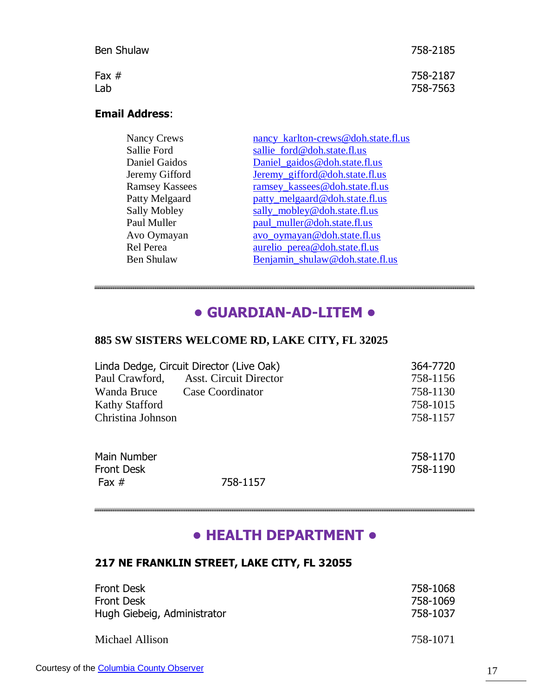| Ben Shulaw | 758-2185 |
|------------|----------|
| Fax $#$    | 758-2187 |
| Lab        | 758-7563 |

### **Email Address**:

| <b>Nancy Crews</b>    | nancy karlton-crews@doh.state.fl.us |
|-----------------------|-------------------------------------|
| Sallie Ford           | sallie ford@doh.state.fl.us         |
| Daniel Gaidos         | Daniel_gaidos@doh.state.fl.us       |
| Jeremy Gifford        | Jeremy_gifford@doh.state.fl.us      |
| <b>Ramsey Kassees</b> | ramsey_kassees@doh.state.fl.us      |
| Patty Melgaard        | patty_melgaard@doh.state.fl.us      |
| <b>Sally Mobley</b>   | sally_mobley@doh.state.fl.us        |
| Paul Muller           | paul_muller@doh.state.fl.us         |
| Avo Oymayan           | avo_oymayan@doh.state.fl.us         |
| Rel Perea             | aurelio perea@doh.state.fl.us       |
| <b>Ben Shulaw</b>     | Benjamin_shulaw@doh.state.fl.us     |
|                       |                                     |

# **• GUARDIAN-AD-LITEM •**

### **885 SW SISTERS WELCOME RD, LAKE CITY, FL 32025**

| Linda Dedge, Circuit Director (Live Oak) | 364-7720 |
|------------------------------------------|----------|
| <b>Asst. Circuit Director</b>            | 758-1156 |
| <b>Case Coordinator</b>                  | 758-1130 |
|                                          | 758-1015 |
|                                          | 758-1157 |
|                                          |          |
|                                          | 758-1170 |
|                                          | 758-1190 |
| 758-1157                                 |          |
|                                          |          |

# **• HEALTH DEPARTMENT •**

### **217 NE FRANKLIN STREET, LAKE CITY, FL 32055**

| <b>Front Desk</b>           | 758-1068 |
|-----------------------------|----------|
| <b>Front Desk</b>           | 758-1069 |
| Hugh Giebeig, Administrator | 758-1037 |
| Michael Allison             | 758-1071 |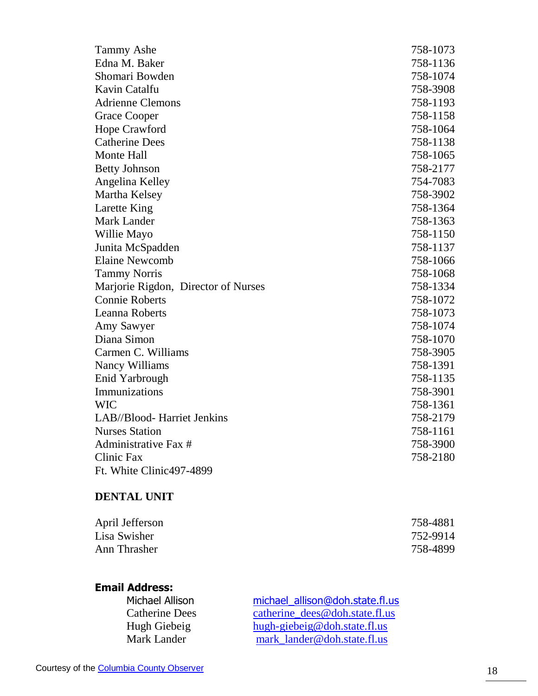| <b>Tammy Ashe</b>                   | 758-1073 |
|-------------------------------------|----------|
| Edna M. Baker                       | 758-1136 |
| Shomari Bowden                      | 758-1074 |
| Kavin Catalfu                       | 758-3908 |
| <b>Adrienne Clemons</b>             | 758-1193 |
| <b>Grace Cooper</b>                 | 758-1158 |
| Hope Crawford                       | 758-1064 |
| <b>Catherine Dees</b>               | 758-1138 |
| <b>Monte Hall</b>                   | 758-1065 |
| <b>Betty Johnson</b>                | 758-2177 |
| Angelina Kelley                     | 754-7083 |
| Martha Kelsey                       | 758-3902 |
| Larette King                        | 758-1364 |
| Mark Lander                         | 758-1363 |
| Willie Mayo                         | 758-1150 |
| Junita McSpadden                    | 758-1137 |
| <b>Elaine Newcomb</b>               | 758-1066 |
| <b>Tammy Norris</b>                 | 758-1068 |
| Marjorie Rigdon, Director of Nurses | 758-1334 |
| <b>Connie Roberts</b>               | 758-1072 |
| <b>Leanna Roberts</b>               | 758-1073 |
| Amy Sawyer                          | 758-1074 |
| Diana Simon                         | 758-1070 |
| Carmen C. Williams                  | 758-3905 |
| Nancy Williams                      | 758-1391 |
| Enid Yarbrough                      | 758-1135 |
| Immunizations                       | 758-3901 |
| <b>WIC</b>                          | 758-1361 |
| LAB//Blood- Harriet Jenkins         | 758-2179 |
| <b>Nurses Station</b>               | 758-1161 |
| Administrative Fax #                | 758-3900 |
| Clinic Fax                          | 758-2180 |
| Ft. White Clinic497-4899            |          |

### **DENTAL UNIT**

| April Jefferson | 758-4881 |
|-----------------|----------|
| Lisa Swisher    | 752-9914 |
| Ann Thrasher    | 758-4899 |

### **Email Address:**

| Michael Allison       | michael allison@doh.state.fl.us |
|-----------------------|---------------------------------|
| <b>Catherine Dees</b> | catherine_dees@doh.state.fl.us  |
| Hugh Giebeig          | hugh-giebeig@doh.state.fl.us    |
| Mark Lander           | mark lander@doh.state.fl.us     |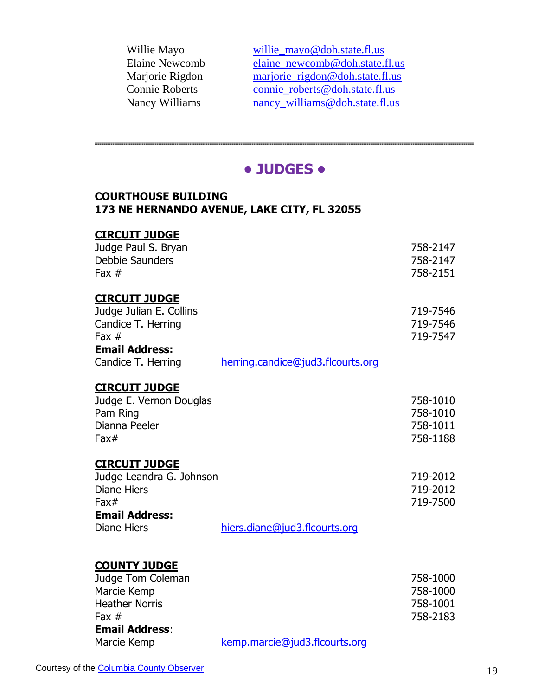| willie_mayo@doh.state.fl.us     |
|---------------------------------|
| elaine_newcomb@doh.state.fl.us  |
| marjorie_rigdon@doh.state.fl.us |
| connie_roberts@doh.state.fl.us  |
| nancy_williams@doh.state.fl.us  |
|                                 |

### **• JUDGES •**

#### **COURTHOUSE BUILDING 173 NE HERNANDO AVENUE, LAKE CITY, FL 32055**

| <b>CIRCUIT JUDGE</b>     |                                   |          |
|--------------------------|-----------------------------------|----------|
| Judge Paul S. Bryan      |                                   | 758-2147 |
| Debbie Saunders          |                                   | 758-2147 |
| Fax $#$                  |                                   | 758-2151 |
|                          |                                   |          |
| <b>CIRCUIT JUDGE</b>     |                                   |          |
| Judge Julian E. Collins  |                                   | 719-7546 |
| Candice T. Herring       |                                   | 719-7546 |
| Fax $#$                  |                                   | 719-7547 |
| <b>Email Address:</b>    |                                   |          |
|                          |                                   |          |
| Candice T. Herring       | herring.candice@jud3.flcourts.org |          |
| <b>CIRCUIT JUDGE</b>     |                                   |          |
|                          |                                   |          |
| Judge E. Vernon Douglas  |                                   | 758-1010 |
| Pam Ring                 |                                   | 758-1010 |
| Dianna Peeler            |                                   | 758-1011 |
| Fax#                     |                                   | 758-1188 |
|                          |                                   |          |
| <b>CIRCUIT JUDGE</b>     |                                   |          |
| Judge Leandra G. Johnson |                                   | 719-2012 |
| <b>Diane Hiers</b>       |                                   | 719-2012 |
| Fax#                     |                                   | 719-7500 |
| <b>Email Address:</b>    |                                   |          |
| <b>Diane Hiers</b>       | hiers.diane@jud3.flcourts.org     |          |
|                          |                                   |          |
|                          |                                   |          |
| <b>COUNTY JUDGE</b>      |                                   |          |

| Judge Tom Coleman     |                               | 758-1000 |
|-----------------------|-------------------------------|----------|
| Marcie Kemp           |                               | 758-1000 |
| <b>Heather Norris</b> |                               | 758-1001 |
| Fax $#$               |                               | 758-2183 |
| <b>Email Address:</b> |                               |          |
| Marcie Kemp           | kemp.marcie@jud3.flcourts.org |          |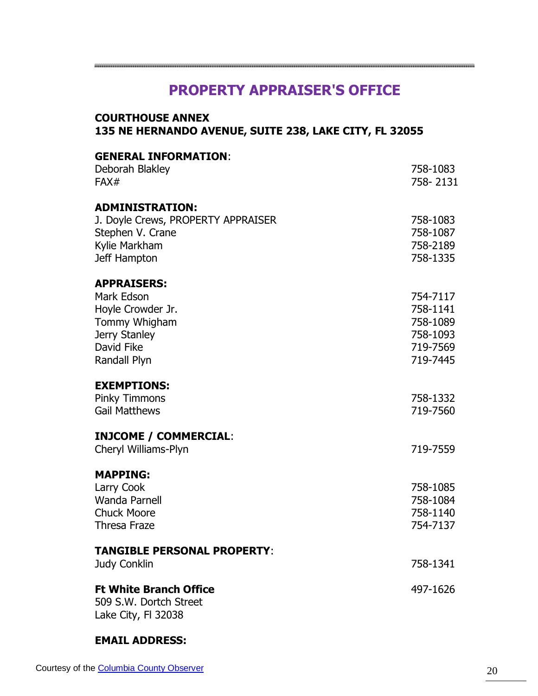# **PROPERTY APPRAISER'S OFFICE**

| 135 NE HERNANDO AVENUE, SUITE 238, LAKE CITY, FL 32055                                                                |                                                                      |  |
|-----------------------------------------------------------------------------------------------------------------------|----------------------------------------------------------------------|--|
| <b>GENERAL INFORMATION:</b><br>Deborah Blakley<br>FAX#                                                                | 758-1083<br>758-2131                                                 |  |
| <b>ADMINISTRATION:</b><br>J. Doyle Crews, PROPERTY APPRAISER<br>Stephen V. Crane<br>Kylie Markham<br>Jeff Hampton     | 758-1083<br>758-1087<br>758-2189<br>758-1335                         |  |
| <b>APPRAISERS:</b><br>Mark Edson<br>Hoyle Crowder Jr.<br>Tommy Whigham<br>Jerry Stanley<br>David Fike<br>Randall Plyn | 754-7117<br>758-1141<br>758-1089<br>758-1093<br>719-7569<br>719-7445 |  |
| <b>EXEMPTIONS:</b><br><b>Pinky Timmons</b><br><b>Gail Matthews</b>                                                    | 758-1332<br>719-7560                                                 |  |
| <b>INJCOME / COMMERCIAL:</b><br>Cheryl Williams-Plyn                                                                  | 719-7559                                                             |  |
| <b>MAPPING:</b><br>Larry Cook<br><b>Wanda Parnell</b><br>Chuck Moore<br><b>Thresa Fraze</b>                           | 758-1085<br>758-1084<br>758-1140<br>754-7137                         |  |
| <b>TANGIBLE PERSONAL PROPERTY:</b><br><b>Judy Conklin</b>                                                             | 758-1341                                                             |  |
| <b>Ft White Branch Office</b><br>509 S.W. Dortch Street<br>Lake City, FI 32038                                        | 497-1626                                                             |  |

### **EMAIL ADDRESS:**

**COURTHOUSE ANNEX**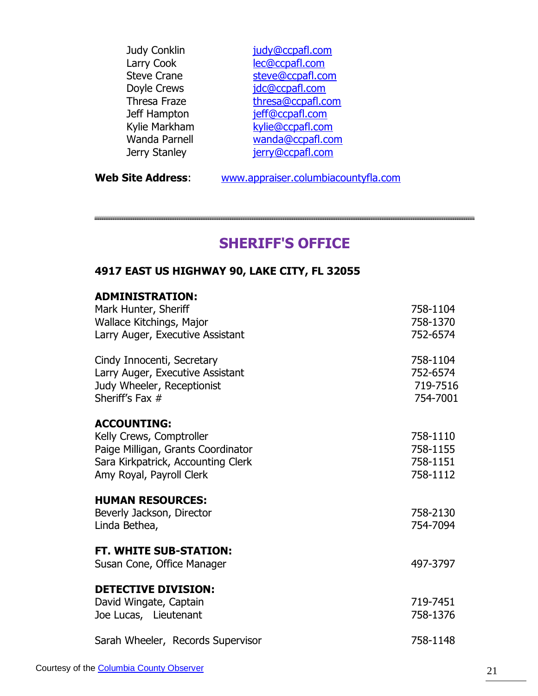| Judy Conklin       | judy@ccpafl.com   |
|--------------------|-------------------|
| Larry Cook         | lec@ccpafl.com    |
| <b>Steve Crane</b> | steve@ccpafl.com  |
| Doyle Crews        | jdc@ccpafl.com    |
| Thresa Fraze       | thresa@ccpafl.com |
| Jeff Hampton       | jeff@ccpafl.com   |
| Kylie Markham      | kylie@ccpafl.com  |
| Wanda Parnell      | wanda@ccpafl.com  |
| Jerry Stanley      | jerry@ccpafl.com  |
|                    |                   |

**Web Site Address**: [www.appraiser.columbiacountyfla.com](http://www.appraiser.columbiacountyfla.com/)

### **SHERIFF'S OFFICE**

### **4917 EAST US HIGHWAY 90, LAKE CITY, FL 32055**

| <b>ADMINISTRATION:</b> |  |
|------------------------|--|
|------------------------|--|

| Mark Hunter, Sheriff<br>Wallace Kitchings, Major<br>Larry Auger, Executive Assistant                                                                   | 758-1104<br>758-1370<br>752-6574             |
|--------------------------------------------------------------------------------------------------------------------------------------------------------|----------------------------------------------|
| Cindy Innocenti, Secretary<br>Larry Auger, Executive Assistant<br>Judy Wheeler, Receptionist<br>Sheriff's Fax #                                        | 758-1104<br>752-6574<br>719-7516<br>754-7001 |
| <b>ACCOUNTING:</b><br>Kelly Crews, Comptroller<br>Paige Milligan, Grants Coordinator<br>Sara Kirkpatrick, Accounting Clerk<br>Amy Royal, Payroll Clerk | 758-1110<br>758-1155<br>758-1151<br>758-1112 |
| <b>HUMAN RESOURCES:</b><br>Beverly Jackson, Director<br>Linda Bethea,                                                                                  | 758-2130<br>754-7094                         |
| <b>FT. WHITE SUB-STATION:</b><br>Susan Cone, Office Manager                                                                                            | 497-3797                                     |
| <b>DETECTIVE DIVISION:</b><br>David Wingate, Captain<br>Joe Lucas, Lieutenant                                                                          | 719-7451<br>758-1376                         |
| Sarah Wheeler, Records Supervisor                                                                                                                      | 758-1148                                     |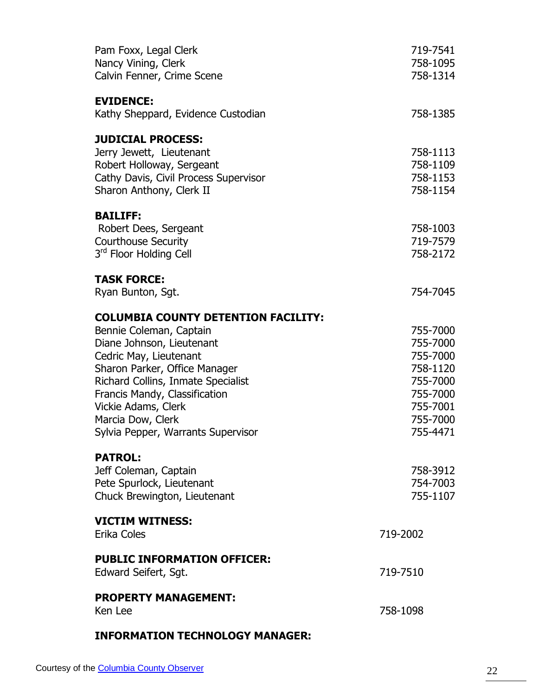| Pam Foxx, Legal Clerk<br>Nancy Vining, Clerk<br>Calvin Fenner, Crime Scene                                                                             | 719-7541<br>758-1095<br>758-1314             |
|--------------------------------------------------------------------------------------------------------------------------------------------------------|----------------------------------------------|
| <b>EVIDENCE:</b>                                                                                                                                       |                                              |
| Kathy Sheppard, Evidence Custodian                                                                                                                     | 758-1385                                     |
| <b>JUDICIAL PROCESS:</b><br>Jerry Jewett, Lieutenant<br>Robert Holloway, Sergeant<br>Cathy Davis, Civil Process Supervisor<br>Sharon Anthony, Clerk II | 758-1113<br>758-1109<br>758-1153<br>758-1154 |
| <b>BAILIFF:</b>                                                                                                                                        |                                              |
| Robert Dees, Sergeant                                                                                                                                  | 758-1003                                     |
| <b>Courthouse Security</b><br>3rd Floor Holding Cell                                                                                                   | 719-7579<br>758-2172                         |
|                                                                                                                                                        |                                              |
| <b>TASK FORCE:</b><br>Ryan Bunton, Sgt.                                                                                                                | 754-7045                                     |
| <b>COLUMBIA COUNTY DETENTION FACILITY:</b>                                                                                                             |                                              |
| Bennie Coleman, Captain                                                                                                                                | 755-7000                                     |
| Diane Johnson, Lieutenant                                                                                                                              | 755-7000                                     |
| Cedric May, Lieutenant                                                                                                                                 | 755-7000<br>758-1120                         |
| Sharon Parker, Office Manager<br>Richard Collins, Inmate Specialist                                                                                    | 755-7000                                     |
| Francis Mandy, Classification                                                                                                                          | 755-7000                                     |
| Vickie Adams, Clerk                                                                                                                                    | 755-7001                                     |
| Marcia Dow, Clerk                                                                                                                                      | 755-7000                                     |
| Sylvia Pepper, Warrants Supervisor                                                                                                                     | 755-4471                                     |
| <b>PATROL:</b>                                                                                                                                         |                                              |
| Jeff Coleman, Captain                                                                                                                                  | 758-3912                                     |
| Pete Spurlock, Lieutenant                                                                                                                              | 754-7003                                     |
| Chuck Brewington, Lieutenant                                                                                                                           | 755-1107                                     |
| <b>VICTIM WITNESS:</b><br>Erika Coles                                                                                                                  | 719-2002                                     |
| <b>PUBLIC INFORMATION OFFICER:</b>                                                                                                                     |                                              |
| Edward Seifert, Sgt.                                                                                                                                   | 719-7510                                     |
| <b>PROPERTY MANAGEMENT:</b>                                                                                                                            |                                              |
| Ken Lee                                                                                                                                                | 758-1098                                     |
| <b>INFORMATION TECHNOLOGY MANAGER:</b>                                                                                                                 |                                              |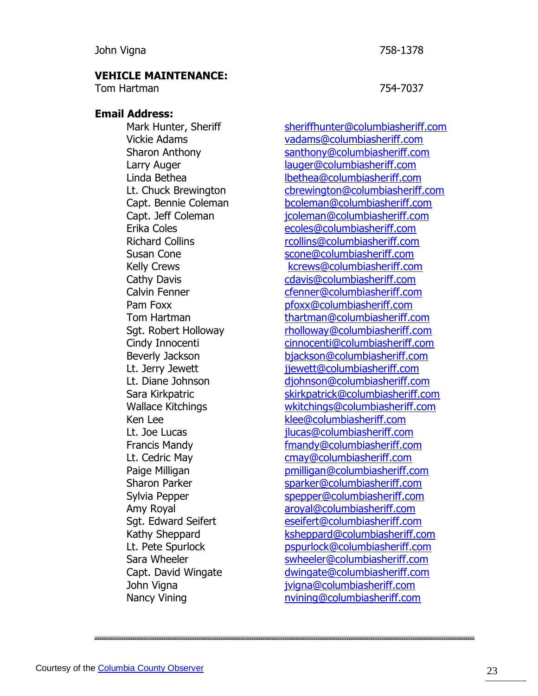#### **VEHICLE MAINTENANCE:**

Tom Hartman 754-7037

#### **Email Address:**

Mark Hunter, Sheriff [sheriffhunter@columbiasheriff.com](mailto:sheriffhunter@columbiasheriff.com) Vickie Adams [vadams@columbiasheriff.com](mailto:vadams@columbiasheriff.com) Sharon Anthony [santhony@columbiasheriff.com](mailto:santhony@columbiasheriff.com) Larry Auger [lauger@columbiasheriff.com](mailto:lauger@columbiasheriff.com) Linda Bethea [lbethea@columbiasheriff.com](mailto:lbethea@columbiasheriff.com) Lt. Chuck Brewington [cbrewington@columbiasheriff.com](mailto:cbrewington@columbiasheriff.com) Capt. Bennie Coleman [bcoleman@columbiasheriff.com](mailto:bcoleman@columbiasheriff.com) Capt. Jeff Coleman [jcoleman@columbiasheriff.com](mailto:jcoleman@columbiasheriff.com) Erika Coles [ecoles@columbiasheriff.com](mailto:ecoles@columbiasheriff.com) Richard Collins [rcollins@columbiasheriff.com](mailto:rcollins@columbiasheriff.com) Susan Cone [scone@columbiasheriff.com](mailto:scone@columbiasheriff.com) Kelly Crews **Kelly Crews** Kelly Crews **Kelly Crews Kelly** Crews **Kelly** Crews **Kelly** Crews **Kelly** Company Company Company Company Company Company Company Company Company Company Company Company Company Company Company Cathy Davis Cathy Davis Cathy Davis Cathy Davis Cathy Davis Cathy Davis Cathy Davis Cathy Davis Cathy Cathy Cathy Cathy Cathy Cathy Cathy Cathy Cathy Cathy Cathy Cathy Cathy Cathy Cathy Cathy Cathy Cathy Cathy Cathy Cathy Calvin Fenner [cfenner@columbiasheriff.com](mailto:cfenner@columbiasheriff.com) Pam Foxx [pfoxx@columbiasheriff.com](mailto:pfoxx@columbiasheriff.com) Tom Hartman [thartman@columbiasheriff.com](mailto:thartman@columbiasheriff.com) Sgt. Robert Holloway [rholloway@columbiasheriff.com](mailto:rholloway@columbiasheriff.com) Cindy Innocenti [cinnocenti@columbiasheriff.com](mailto:cinnocenti@columbiasheriff.com) Beverly Jackson [bjackson@columbiasheriff.com](mailto:bjackson@columbiasheriff.com) Lt. Jerry Jewett in the vertext intervett@columbiasheriff.com Lt. Diane Johnson [djohnson@columbiasheriff.com](mailto:djohnson@columbiasheriff.com) Sara Kirkpatric [skirkpatrick@columbiasheriff.com](mailto:skirkpatrick@columbiasheriff.com) Wallace Kitchings [wkitchings@columbiasheriff.com](mailto:wkitchings@columbiasheriff.com) Ken Lee [klee@columbiasheriff.com](mailto:klee@columbiasheriff.com) Lt. Joe Lucas ilucas@columbiasheriff.com Francis Mandy **Example 20** Francis Mandy **Francis Mandy Francis** Mandy **Example 20** Francis Mandy **Example 20** Francis Mandy **Example 20** Francis Mandy **Example 20** Francis Mandy **Example 20** Francis Mandy **Example 20** F Lt. Cedric May example and the [cmay@columbiasheriff.com](mailto:cmay@columbiasheriff.com) Paige Milligan **[pmilligan@columbiasheriff.com](mailto:pmilligan@columbiasheriff.com)** Sharon Parker [sparker@columbiasheriff.com](mailto:sparker@columbiasheriff.com) Sylvia Pepper [spepper@columbiasheriff.com](mailto:spepper@columbiasheriff.com) Amy Royal [aroyal@columbiasheriff.com](mailto:aroyal@columbiasheriff.com) Sgt. Edward Seifert [eseifert@columbiasheriff.com](mailto:eseifert@columbiasheriff.com) Kathy Sheppard **K**sheppard@columbiasheriff.com Lt. Pete Spurlock entitled [pspurlock@columbiasheriff.com](mailto:pspurlock@columbiasheriff.com) Sara Wheeler [swheeler@columbiasheriff.com](mailto:swheeler@columbiasheriff.com) Capt. David Wingate [dwingate@columbiasheriff.com](mailto:dwingate@columbiasheriff.com) John Vigna [jvigna@columbiasheriff.com](mailto:jvigna@columbiasheriff.com) Nancy Vining number of the number of the number of Nancy Vining number of the Nancy Vining Occurs of the Nancy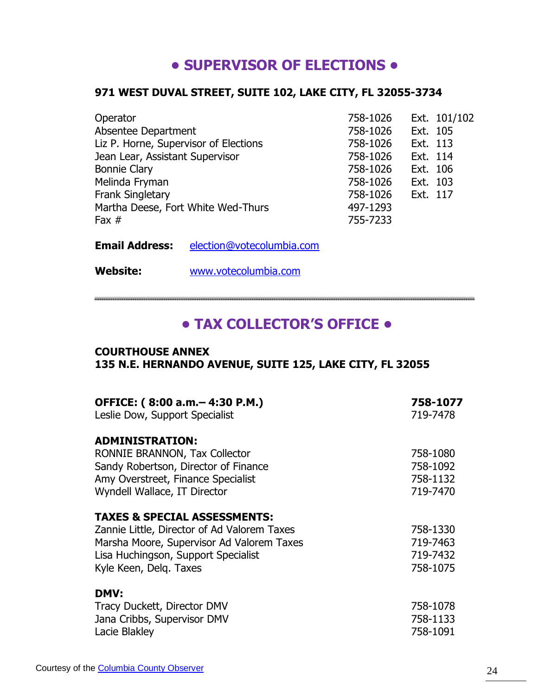# **• SUPERVISOR OF ELECTIONS •**

### **971 WEST DUVAL STREET, SUITE 102, LAKE CITY, FL 32055-3734**

| Operator                              | 758-1026 |          | Ext. 101/102 |
|---------------------------------------|----------|----------|--------------|
| Absentee Department                   | 758-1026 | Ext. 105 |              |
| Liz P. Horne, Supervisor of Elections | 758-1026 | Ext. 113 |              |
| Jean Lear, Assistant Supervisor       | 758-1026 | Ext. 114 |              |
| <b>Bonnie Clary</b>                   | 758-1026 | Ext. 106 |              |
| Melinda Fryman                        | 758-1026 | Ext. 103 |              |
| <b>Frank Singletary</b>               | 758-1026 | Ext. 117 |              |
| Martha Deese, Fort White Wed-Thurs    | 497-1293 |          |              |
| Fax $#$                               | 755-7233 |          |              |

**Email Address:** [election@votecolumbia.com](mailto:election@votecolumbia.com)

**Website:** [www.votecolumbia.com](http://www.votecolumbia.com/)

# **• TAX COLLECTOR'S OFFICE •**

#### **COURTHOUSE ANNEX 135 N.E. HERNANDO AVENUE, SUITE 125, LAKE CITY, FL 32055**

| OFFICE: (8:00 a.m. - 4:30 P.M.)<br>Leslie Dow, Support Specialist                                                                                         | 758-1077<br>719-7478                         |
|-----------------------------------------------------------------------------------------------------------------------------------------------------------|----------------------------------------------|
| <b>ADMINISTRATION:</b><br>RONNIE BRANNON, Tax Collector<br>Sandy Robertson, Director of Finance<br>Amy Overstreet, Finance Specialist                     | 758-1080<br>758-1092<br>758-1132             |
| Wyndell Wallace, IT Director                                                                                                                              | 719-7470                                     |
| <b>TAXES &amp; SPECIAL ASSESSMENTS:</b>                                                                                                                   |                                              |
| Zannie Little, Director of Ad Valorem Taxes<br>Marsha Moore, Supervisor Ad Valorem Taxes<br>Lisa Huchingson, Support Specialist<br>Kyle Keen, Delg. Taxes | 758-1330<br>719-7463<br>719-7432<br>758-1075 |
| <b>DMV:</b><br>Tracy Duckett, Director DMV<br>Jana Cribbs, Supervisor DMV<br>Lacie Blakley                                                                | 758-1078<br>758-1133<br>758-1091             |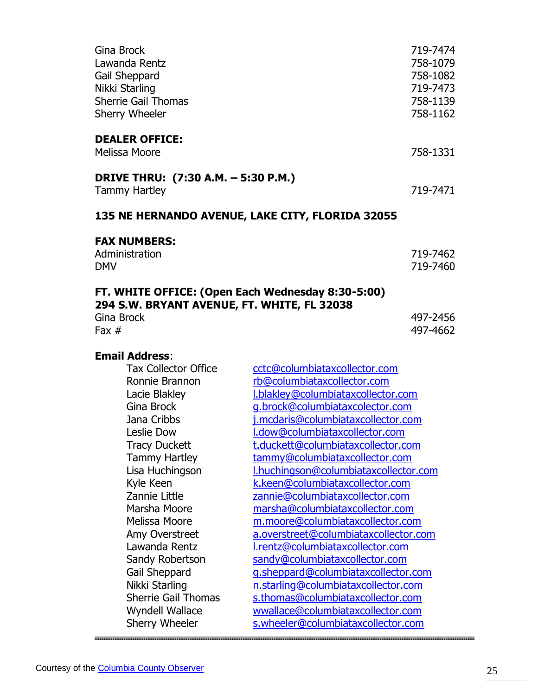| Gina Brock                                                 |                                                                         | 719-7474 |
|------------------------------------------------------------|-------------------------------------------------------------------------|----------|
| Lawanda Rentz                                              |                                                                         | 758-1079 |
| Gail Sheppard                                              |                                                                         | 758-1082 |
| Nikki Starling                                             |                                                                         | 719-7473 |
| <b>Sherrie Gail Thomas</b>                                 |                                                                         | 758-1139 |
| <b>Sherry Wheeler</b>                                      |                                                                         | 758-1162 |
| <b>DEALER OFFICE:</b>                                      |                                                                         |          |
| Melissa Moore                                              |                                                                         | 758-1331 |
| DRIVE THRU: (7:30 A.M. - 5:30 P.M.)                        |                                                                         |          |
| <b>Tammy Hartley</b>                                       |                                                                         | 719-7471 |
| 135 NE HERNANDO AVENUE, LAKE CITY, FLORIDA 32055           |                                                                         |          |
| <b>FAX NUMBERS:</b>                                        |                                                                         |          |
| Administration                                             |                                                                         | 719-7462 |
| <b>DMV</b>                                                 |                                                                         | 719-7460 |
| FT. WHITE OFFICE: (Open Each Wednesday 8:30-5:00)          |                                                                         |          |
| 294 S.W. BRYANT AVENUE, FT. WHITE, FL 32038                |                                                                         |          |
| Gina Brock                                                 |                                                                         | 497-2456 |
| Fax $#$                                                    |                                                                         | 497-4662 |
| <b>Email Address:</b>                                      |                                                                         |          |
| <b>Tax Collector Office</b>                                | cctc@columbiataxcollector.com                                           |          |
| Ronnie Brannon                                             | rb@columbiataxcollector.com                                             |          |
| Lacie Blakley                                              | I.blakley@columbiataxcollector.com                                      |          |
| Gina Brock                                                 | g.brock@columbiataxcolector.com                                         |          |
| Jana Cribbs                                                | j.mcdaris@columbiataxcollector.com                                      |          |
| I.dow@columbiataxcollector.com<br>Leslie Dow               |                                                                         |          |
| t.duckett@columbiataxcollector.com<br><b>Tracy Duckett</b> |                                                                         |          |
| tammy@columbiataxcollector.com<br><b>Tammy Hartley</b>     |                                                                         |          |
| Lisa Huchingson<br>I.huchingson@columbiataxcollector.com   |                                                                         |          |
| k.keen@columbiataxcollector.com<br>Kyle Keen               |                                                                         |          |
| Zannie Little<br>zannie@columbiataxcollector.com           |                                                                         |          |
| Marsha Moore                                               | marsha@columbiataxcollector.com                                         |          |
| Melissa Moore                                              | m.moore@columbiataxcollector.com                                        |          |
| Amy Overstreet                                             | a.overstreet@columbiataxcollector.com                                   |          |
| Lawanda Rentz                                              | l.rentz@columbiataxcollector.com                                        |          |
|                                                            |                                                                         |          |
| Sandy Robertson                                            | sandy@columbiataxcollector.com                                          |          |
| Gail Sheppard                                              | g.sheppard@columbiataxcollector.com                                     |          |
| Nikki Starling                                             | n.starling@columbiataxcollector.com                                     |          |
| <b>Sherrie Gail Thomas</b>                                 | s.thomas@columbiataxcollector.com                                       |          |
| Wyndell Wallace<br>Sherry Wheeler                          | wwallace@columbiataxcollector.com<br>s.wheeler@columbiataxcollector.com |          |